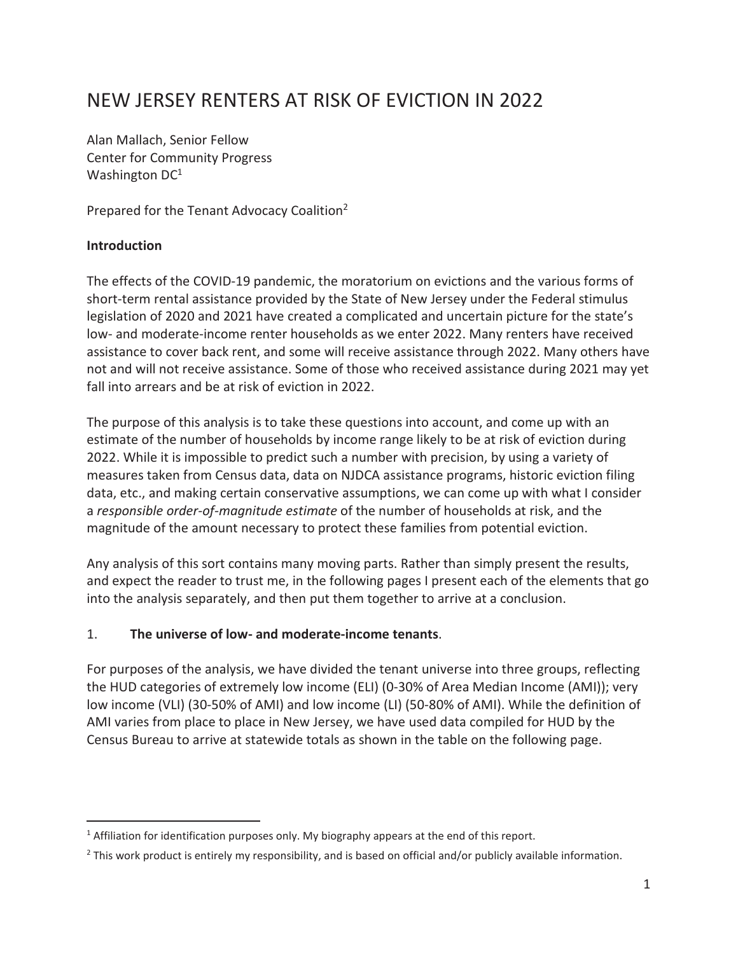# NEW JERSEY RENTERS AT RISK OF EVICTION IN 2022

Alan Mallach, Senior Fellow Center for Community Progress Washington DC<sup>1</sup>

Prepared for the Tenant Advocacy Coalition2

#### **Introduction**

j

The effects of the COVID-19 pandemic, the moratorium on evictions and the various forms of short-term rental assistance provided by the State of New Jersey under the Federal stimulus legislation of 2020 and 2021 have created a complicated and uncertain picture for the state's low- and moderate-income renter households as we enter 2022. Many renters have received assistance to cover back rent, and some will receive assistance through 2022. Many others have not and will not receive assistance. Some of those who received assistance during 2021 may yet fall into arrears and be at risk of eviction in 2022.

The purpose of this analysis is to take these questions into account, and come up with an estimate of the number of households by income range likely to be at risk of eviction during 2022. While it is impossible to predict such a number with precision, by using a variety of measures taken from Census data, data on NJDCA assistance programs, historic eviction filing data, etc., and making certain conservative assumptions, we can come up with what I consider a *responsible order-of-magnitude estimate* of the number of households at risk, and the magnitude of the amount necessary to protect these families from potential eviction.

Any analysis of this sort contains many moving parts. Rather than simply present the results, and expect the reader to trust me, in the following pages I present each of the elements that go into the analysis separately, and then put them together to arrive at a conclusion.

## 1. **The universe of low- and moderate-income tenants**.

For purposes of the analysis, we have divided the tenant universe into three groups, reflecting the HUD categories of extremely low income (ELI) (0-30% of Area Median Income (AMI)); very low income (VLI) (30-50% of AMI) and low income (LI) (50-80% of AMI). While the definition of AMI varies from place to place in New Jersey, we have used data compiled for HUD by the Census Bureau to arrive at statewide totals as shown in the table on the following page.

 $<sup>1</sup>$  Affiliation for identification purposes only. My biography appears at the end of this report.</sup>

 $^2$  This work product is entirely my responsibility, and is based on official and/or publicly available information.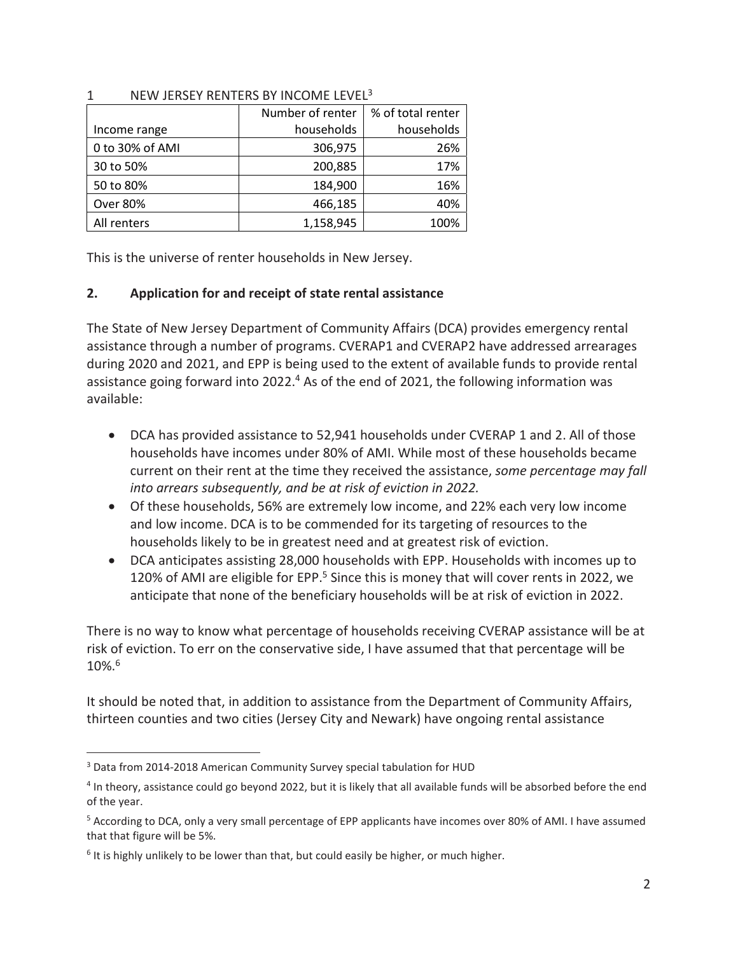|                 | Number of renter | % of total renter |  |  |  |
|-----------------|------------------|-------------------|--|--|--|
| Income range    | households       | households        |  |  |  |
| 0 to 30% of AMI | 306,975          | 26%               |  |  |  |
| 30 to 50%       | 200,885          | 17%               |  |  |  |
| 50 to 80%       | 184,900          | 16%               |  |  |  |
| <b>Over 80%</b> | 466,185          | 40%               |  |  |  |
| All renters     | 1,158,945        | 100%              |  |  |  |

#### 1 NEW JERSEY RENTERS BY INCOME LEVEL<sup>3</sup>

This is the universe of renter households in New Jersey.

## **2. Application for and receipt of state rental assistance**

The State of New Jersey Department of Community Affairs (DCA) provides emergency rental assistance through a number of programs. CVERAP1 and CVERAP2 have addressed arrearages during 2020 and 2021, and EPP is being used to the extent of available funds to provide rental assistance going forward into 2022.<sup>4</sup> As of the end of 2021, the following information was available:

- DCA has provided assistance to 52,941 households under CVERAP 1 and 2. All of those households have incomes under 80% of AMI. While most of these households became current on their rent at the time they received the assistance, *some percentage may fall into arrears subsequently, and be at risk of eviction in 2022.*
- Of these households, 56% are extremely low income, and 22% each very low income and low income. DCA is to be commended for its targeting of resources to the households likely to be in greatest need and at greatest risk of eviction.
- DCA anticipates assisting 28,000 households with EPP. Households with incomes up to 120% of AMI are eligible for EPP.<sup>5</sup> Since this is money that will cover rents in 2022, we anticipate that none of the beneficiary households will be at risk of eviction in 2022.

There is no way to know what percentage of households receiving CVERAP assistance will be at risk of eviction. To err on the conservative side, I have assumed that that percentage will be 10%.6

It should be noted that, in addition to assistance from the Department of Community Affairs, thirteen counties and two cities (Jersey City and Newark) have ongoing rental assistance

 $\overline{a}$ 

<sup>&</sup>lt;sup>3</sup> Data from 2014-2018 American Community Survey special tabulation for HUD

<sup>&</sup>lt;sup>4</sup> In theory, assistance could go beyond 2022, but it is likely that all available funds will be absorbed before the end of the year.

<sup>&</sup>lt;sup>5</sup> According to DCA, only a very small percentage of EPP applicants have incomes over 80% of AMI. I have assumed that that figure will be 5%.

<sup>&</sup>lt;sup>6</sup> It is highly unlikely to be lower than that, but could easily be higher, or much higher.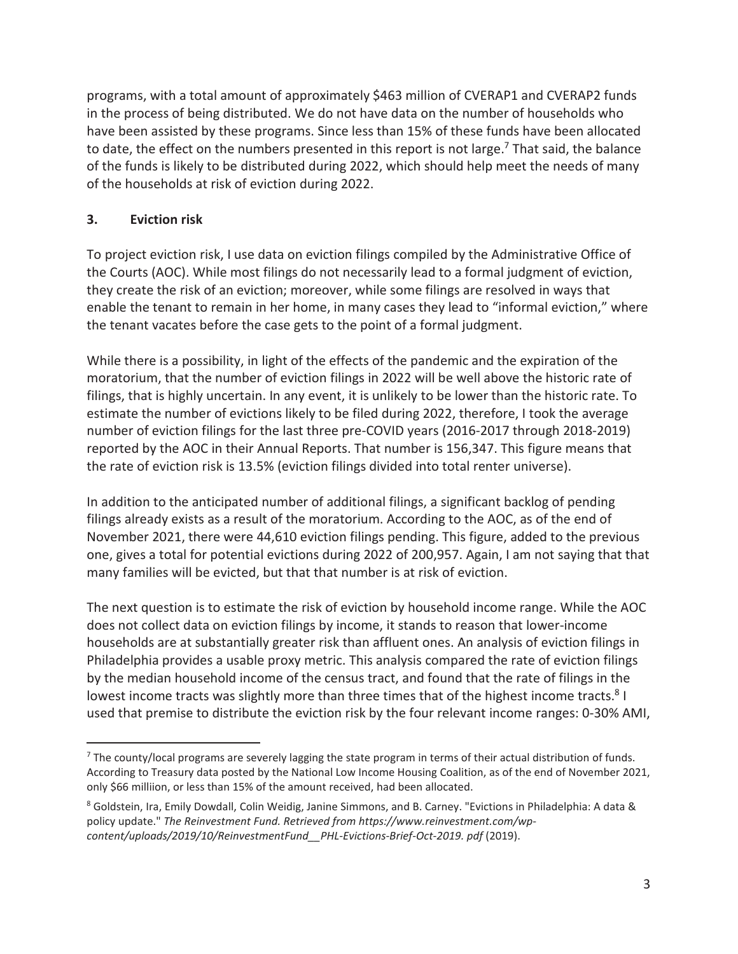programs, with a total amount of approximately \$463 million of CVERAP1 and CVERAP2 funds in the process of being distributed. We do not have data on the number of households who have been assisted by these programs. Since less than 15% of these funds have been allocated to date, the effect on the numbers presented in this report is not large.<sup>7</sup> That said, the balance of the funds is likely to be distributed during 2022, which should help meet the needs of many of the households at risk of eviction during 2022.

## **3. Eviction risk**

.

To project eviction risk, I use data on eviction filings compiled by the Administrative Office of the Courts (AOC). While most filings do not necessarily lead to a formal judgment of eviction, they create the risk of an eviction; moreover, while some filings are resolved in ways that enable the tenant to remain in her home, in many cases they lead to "informal eviction," where the tenant vacates before the case gets to the point of a formal judgment.

While there is a possibility, in light of the effects of the pandemic and the expiration of the moratorium, that the number of eviction filings in 2022 will be well above the historic rate of filings, that is highly uncertain. In any event, it is unlikely to be lower than the historic rate. To estimate the number of evictions likely to be filed during 2022, therefore, I took the average number of eviction filings for the last three pre-COVID years (2016-2017 through 2018-2019) reported by the AOC in their Annual Reports. That number is 156,347. This figure means that the rate of eviction risk is 13.5% (eviction filings divided into total renter universe).

In addition to the anticipated number of additional filings, a significant backlog of pending filings already exists as a result of the moratorium. According to the AOC, as of the end of November 2021, there were 44,610 eviction filings pending. This figure, added to the previous one, gives a total for potential evictions during 2022 of 200,957. Again, I am not saying that that many families will be evicted, but that that number is at risk of eviction.

The next question is to estimate the risk of eviction by household income range. While the AOC does not collect data on eviction filings by income, it stands to reason that lower-income households are at substantially greater risk than affluent ones. An analysis of eviction filings in Philadelphia provides a usable proxy metric. This analysis compared the rate of eviction filings by the median household income of the census tract, and found that the rate of filings in the lowest income tracts was slightly more than three times that of the highest income tracts.<sup>8</sup> I used that premise to distribute the eviction risk by the four relevant income ranges: 0-30% AMI,

 $^7$  The county/local programs are severely lagging the state program in terms of their actual distribution of funds. According to Treasury data posted by the National Low Income Housing Coalition, as of the end of November 2021, only \$66 milliion, or less than 15% of the amount received, had been allocated.

<sup>8</sup> Goldstein, Ira, Emily Dowdall, Colin Weidig, Janine Simmons, and B. Carney. "Evictions in Philadelphia: A data & policy update." *The Reinvestment Fund. Retrieved from https://www.reinvestment.com/wpcontent/uploads/2019/10/ReinvestmentFund\_\_PHL-Evictions-Brief-Oct-2019. pdf* (2019).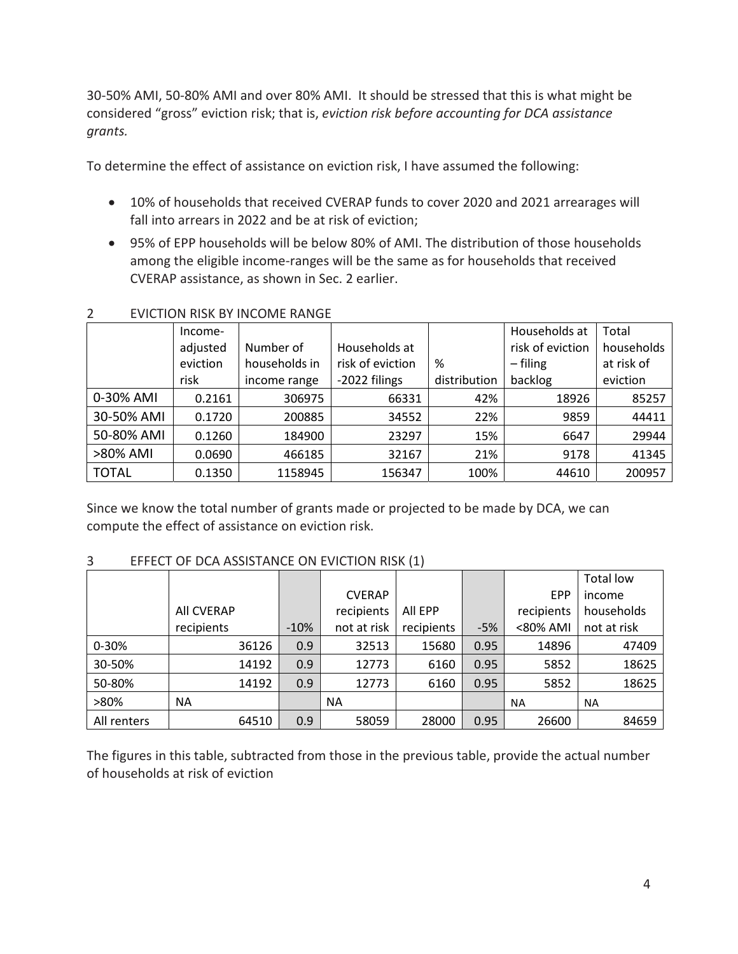30-50% AMI, 50-80% AMI and over 80% AMI. It should be stressed that this is what might be considered "gross" eviction risk; that is, *eviction risk before accounting for DCA assistance grants.* 

To determine the effect of assistance on eviction risk, I have assumed the following:

- 10% of households that received CVERAP funds to cover 2020 and 2021 arrearages will fall into arrears in 2022 and be at risk of eviction;
- 95% of EPP households will be below 80% of AMI. The distribution of those households among the eligible income-ranges will be the same as for households that received CVERAP assistance, as shown in Sec. 2 earlier.

|              | Income-  |               |                  |              | Households at    | Total      |
|--------------|----------|---------------|------------------|--------------|------------------|------------|
|              | adjusted | Number of     | Households at    |              | risk of eviction | households |
|              | eviction | households in | risk of eviction | %            | $-$ filing       | at risk of |
|              | risk     | income range  | -2022 filings    | distribution | backlog          | eviction   |
| 0-30% AMI    | 0.2161   | 306975        | 66331            | 42%          | 18926            | 85257      |
| 30-50% AMI   | 0.1720   | 200885        | 34552            | 22%          | 9859             | 44411      |
| 50-80% AMI   | 0.1260   | 184900        | 23297            | 15%          | 6647             | 29944      |
| >80% AMI     | 0.0690   | 466185        | 32167            | 21%          | 9178             | 41345      |
| <b>TOTAL</b> | 0.1350   | 1158945       | 156347           | 100%         | 44610            | 200957     |

## 2 EVICTION RISK BY INCOME RANGE

Since we know the total number of grants made or projected to be made by DCA, we can compute the effect of assistance on eviction risk.

## 3 EFFECT OF DCA ASSISTANCE ON EVICTION RISK (1)

|             |            |        |               |            |       |            | Total low   |
|-------------|------------|--------|---------------|------------|-------|------------|-------------|
|             |            |        | <b>CVERAP</b> |            |       | <b>EPP</b> | income      |
|             | All CVERAP |        | recipients    | All EPP    |       | recipients | households  |
|             | recipients | $-10%$ | not at risk   | recipients | $-5%$ | <80% AMI   | not at risk |
| $0 - 30%$   | 36126      | 0.9    | 32513         | 15680      | 0.95  | 14896      | 47409       |
| 30-50%      | 14192      | 0.9    | 12773         | 6160       | 0.95  | 5852       | 18625       |
| 50-80%      | 14192      | 0.9    | 12773         | 6160       | 0.95  | 5852       | 18625       |
| >80%        | <b>NA</b>  |        | ΝA            |            |       | <b>NA</b>  | <b>NA</b>   |
| All renters | 64510      | 0.9    | 58059         | 28000      | 0.95  | 26600      | 84659       |

The figures in this table, subtracted from those in the previous table, provide the actual number of households at risk of eviction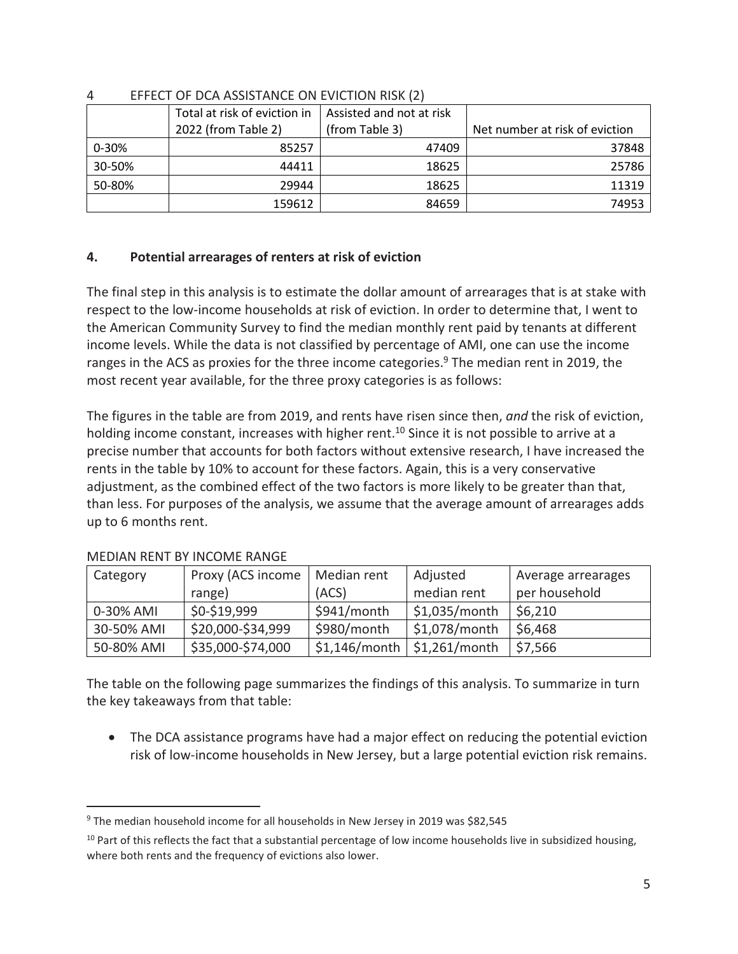|           | Total at risk of eviction in | Assisted and not at risk |                                |
|-----------|------------------------------|--------------------------|--------------------------------|
|           | 2022 (from Table 2)          | (from Table 3)           | Net number at risk of eviction |
| $0 - 30%$ | 85257                        | 47409                    | 37848                          |
| 30-50%    | 44411                        | 18625                    | 25786                          |
| 50-80%    | 29944                        | 18625                    | 11319                          |
|           | 159612                       | 84659                    | 74953                          |

#### 4 EFFECT OF DCA ASSISTANCE ON EVICTION RISK (2)

## **4. Potential arrearages of renters at risk of eviction**

The final step in this analysis is to estimate the dollar amount of arrearages that is at stake with respect to the low-income households at risk of eviction. In order to determine that, I went to the American Community Survey to find the median monthly rent paid by tenants at different income levels. While the data is not classified by percentage of AMI, one can use the income ranges in the ACS as proxies for the three income categories.<sup>9</sup> The median rent in 2019, the most recent year available, for the three proxy categories is as follows:

The figures in the table are from 2019, and rents have risen since then, *and* the risk of eviction, holding income constant, increases with higher rent.<sup>10</sup> Since it is not possible to arrive at a precise number that accounts for both factors without extensive research, I have increased the rents in the table by 10% to account for these factors. Again, this is a very conservative adjustment, as the combined effect of the two factors is more likely to be greater than that, than less. For purposes of the analysis, we assume that the average amount of arrearages adds up to 6 months rent.

| Category   | Proxy (ACS income | Median rent     | Adjusted        | Average arrearages |
|------------|-------------------|-----------------|-----------------|--------------------|
|            | range)            | (ACS)           | median rent     | per household      |
| 0-30% AMI  | \$0-\$19,999      | \$941/month     | $$1,035/m$ onth | \$6,210            |
| 30-50% AMI | \$20,000-\$34,999 | \$980/month     | \$1,078/month   | \$6,468            |
| 50-80% AMI | \$35,000-\$74,000 | $$1,146/m$ onth | $$1,261/m$ onth | \$7,566            |

## MEDIAN RENT BY INCOME RANGE

 $\overline{a}$ 

The table on the following page summarizes the findings of this analysis. To summarize in turn the key takeaways from that table:

• The DCA assistance programs have had a major effect on reducing the potential eviction risk of low-income households in New Jersey, but a large potential eviction risk remains.

<sup>&</sup>lt;sup>9</sup> The median household income for all households in New Jersey in 2019 was \$82,545

 $10$  Part of this reflects the fact that a substantial percentage of low income households live in subsidized housing, where both rents and the frequency of evictions also lower.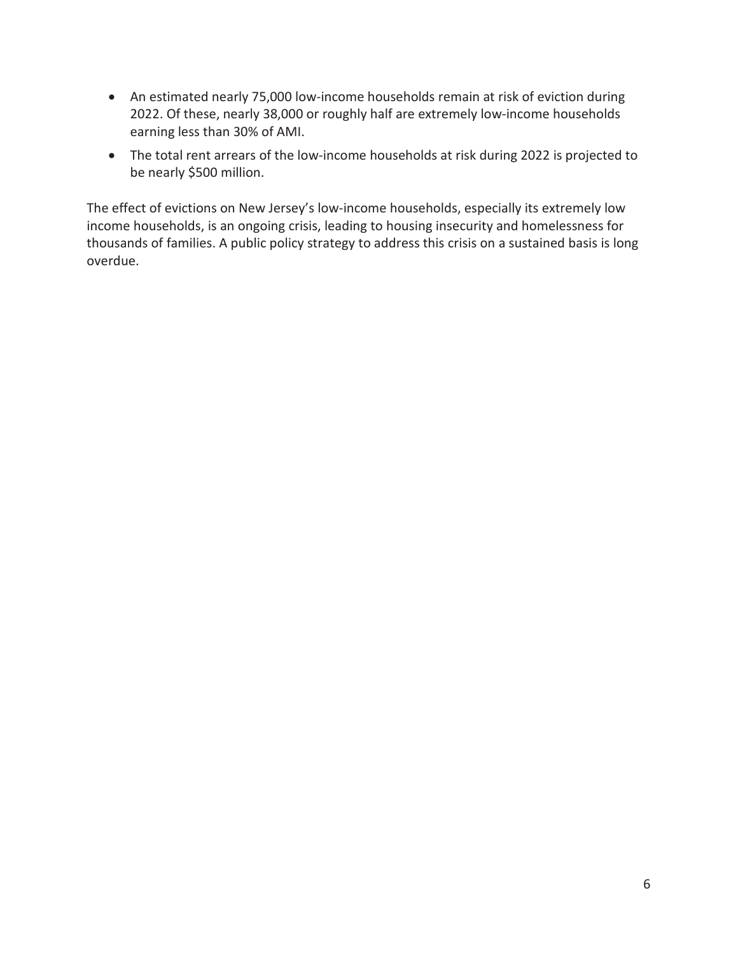- An estimated nearly 75,000 low-income households remain at risk of eviction during 2022. Of these, nearly 38,000 or roughly half are extremely low-income households earning less than 30% of AMI.
- The total rent arrears of the low-income households at risk during 2022 is projected to be nearly \$500 million.

The effect of evictions on New Jersey's low-income households, especially its extremely low income households, is an ongoing crisis, leading to housing insecurity and homelessness for thousands of families. A public policy strategy to address this crisis on a sustained basis is long overdue.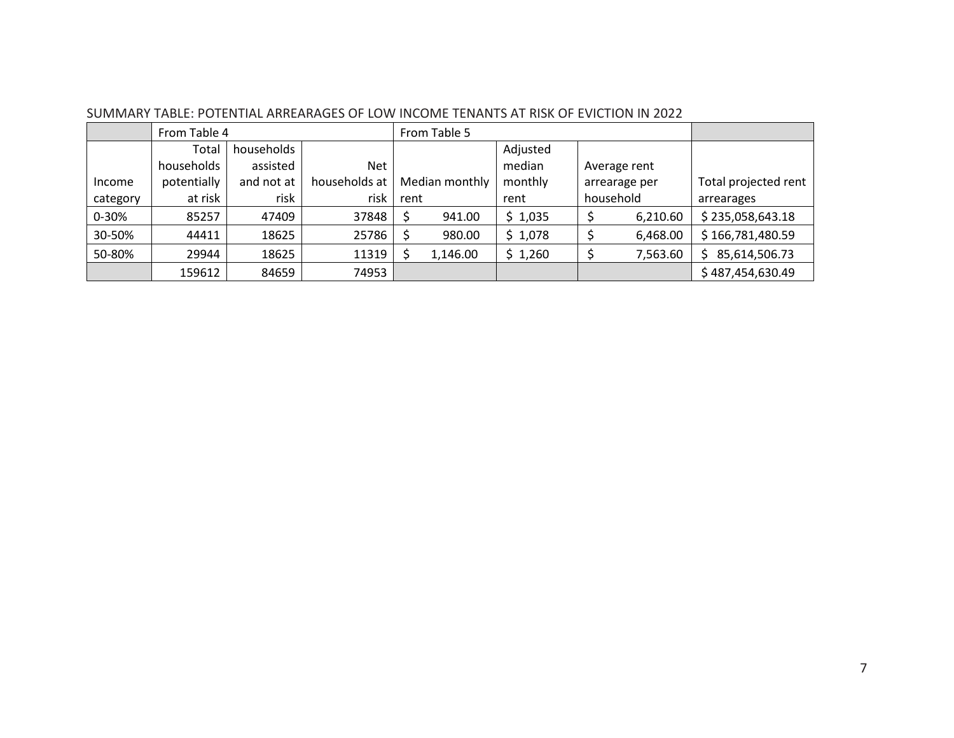|          | From Table 4 |            |               | From Table 5   |          |          |               |              |                      |
|----------|--------------|------------|---------------|----------------|----------|----------|---------------|--------------|----------------------|
|          | Total        | households |               |                |          | Adjusted |               |              |                      |
|          | households   | assisted   | Net           |                |          | median   |               | Average rent |                      |
| Income   | potentially  | and not at | households at | Median monthly |          | monthly  | arrearage per |              | Total projected rent |
| category | at risk      | risk       | risk          | rent           |          | rent     | household     |              | arrearages           |
| 0-30%    | 85257        | 47409      | 37848         |                | 941.00   | \$1,035  |               | 6,210.60     | \$235,058,643.18     |
| 30-50%   | 44411        | 18625      | 25786         |                | 980.00   | \$1,078  |               | 6,468.00     | \$166,781,480.59     |
| 50-80%   | 29944        | 18625      | 11319         |                | 1,146.00 | \$1,260  |               | 7,563.60     | 85,614,506.73<br>S   |
|          | 159612       | 84659      | 74953         |                |          |          |               |              | \$487,454,630.49     |

SUMMARY TABLE: POTENTIAL ARREARAGES OF LOW INCOME TENANTS AT RISK OF EVICTION IN 2022